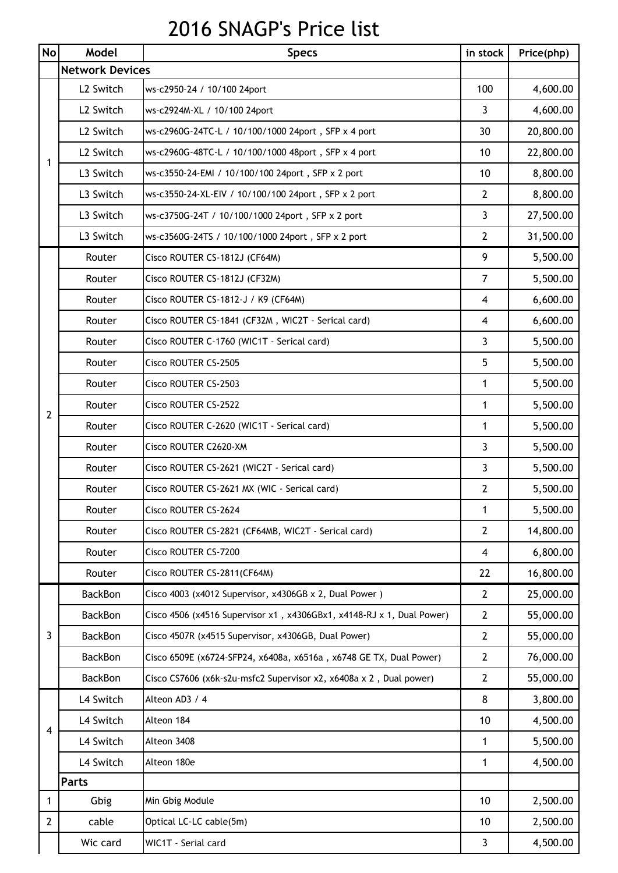## 2016 SNAGP's Price list

| No             | Model                  | <b>Specs</b>                                                          | in stock       | Price(php) |  |  |
|----------------|------------------------|-----------------------------------------------------------------------|----------------|------------|--|--|
|                | <b>Network Devices</b> |                                                                       |                |            |  |  |
| 1              | L2 Switch              | ws-c2950-24 / 10/100 24port                                           | 100            | 4,600.00   |  |  |
|                | L2 Switch              | ws-c2924M-XL / 10/100 24port                                          | 3              | 4,600.00   |  |  |
|                | L2 Switch              | ws-c2960G-24TC-L / 10/100/1000 24port, SFP x 4 port                   | 30             | 20,800.00  |  |  |
|                | L2 Switch              | ws-c2960G-48TC-L / 10/100/1000 48port, SFP x 4 port                   | 10             | 22,800.00  |  |  |
|                | L3 Switch              | ws-c3550-24-EMI / 10/100/100 24port, SFP x 2 port                     | 10             | 8,800.00   |  |  |
|                | L3 Switch              | ws-c3550-24-XL-EIV / 10/100/100 24port, SFP x 2 port                  | $\overline{2}$ | 8,800.00   |  |  |
|                | L3 Switch              | ws-c3750G-24T / 10/100/1000 24port, SFP x 2 port                      | 3              | 27,500.00  |  |  |
|                | L3 Switch              | ws-c3560G-24TS / 10/100/1000 24port, SFP x 2 port                     | $\overline{2}$ | 31,500.00  |  |  |
|                | Router                 | Cisco ROUTER CS-1812J (CF64M)                                         | 9              | 5,500.00   |  |  |
|                | Router                 | Cisco ROUTER CS-1812J (CF32M)                                         | 7              | 5,500.00   |  |  |
|                | Router                 | Cisco ROUTER CS-1812-J / K9 (CF64M)                                   | 4              | 6,600.00   |  |  |
|                | Router                 | Cisco ROUTER CS-1841 (CF32M, WIC2T - Serical card)                    | 4              | 6,600.00   |  |  |
|                | Router                 | Cisco ROUTER C-1760 (WIC1T - Serical card)                            | 3              | 5,500.00   |  |  |
|                | Router                 | Cisco ROUTER CS-2505                                                  | 5              | 5,500.00   |  |  |
|                | Router                 | Cisco ROUTER CS-2503                                                  | 1              | 5,500.00   |  |  |
| 2              | Router                 | Cisco ROUTER CS-2522                                                  | 1              | 5,500.00   |  |  |
|                | Router                 | Cisco ROUTER C-2620 (WIC1T - Serical card)                            | 1              | 5,500.00   |  |  |
|                | Router                 | Cisco ROUTER C2620-XM                                                 | 3              | 5,500.00   |  |  |
|                | Router                 | Cisco ROUTER CS-2621 (WIC2T - Serical card)                           | 3              | 5,500.00   |  |  |
|                | Router                 | Cisco ROUTER CS-2621 MX (WIC - Serical card)                          | $\overline{2}$ | 5,500.00   |  |  |
|                | Router                 | Cisco ROUTER CS-2624                                                  | 1              | 5,500.00   |  |  |
|                | Router                 | Cisco ROUTER CS-2821 (CF64MB, WIC2T - Serical card)                   | $\overline{2}$ | 14,800.00  |  |  |
|                | Router                 | Cisco ROUTER CS-7200                                                  | $\overline{4}$ | 6,800.00   |  |  |
|                | Router                 | Cisco ROUTER CS-2811(CF64M)                                           | 22             | 16,800.00  |  |  |
|                | <b>BackBon</b>         | Cisco 4003 (x4012 Supervisor, x4306GB x 2, Dual Power)                | $\overline{2}$ | 25,000.00  |  |  |
| 3              | <b>BackBon</b>         | Cisco 4506 (x4516 Supervisor x1, x4306GBx1, x4148-RJ x 1, Dual Power) | $\overline{2}$ | 55,000.00  |  |  |
|                | <b>BackBon</b>         | Cisco 4507R (x4515 Supervisor, x4306GB, Dual Power)                   | $\overline{2}$ | 55,000.00  |  |  |
|                | <b>BackBon</b>         | Cisco 6509E (x6724-SFP24, x6408a, x6516a, x6748 GE TX, Dual Power)    | $\overline{2}$ | 76,000.00  |  |  |
|                | <b>BackBon</b>         | Cisco CS7606 (x6k-s2u-msfc2 Supervisor x2, x6408a x 2, Dual power)    | $\overline{2}$ | 55,000.00  |  |  |
|                | L4 Switch              | Alteon AD3 / 4                                                        | 8              | 3,800.00   |  |  |
|                | L4 Switch              | Alteon 184                                                            | 10             | 4,500.00   |  |  |
| 4              | L4 Switch              | Alteon 3408                                                           | 1              | 5,500.00   |  |  |
|                | L4 Switch              | Alteon 180e                                                           | 1              | 4,500.00   |  |  |
|                | <b>Parts</b>           |                                                                       |                |            |  |  |
| 1              | Gbig                   | Min Gbig Module                                                       | 10             | 2,500.00   |  |  |
| $\overline{2}$ | cable                  | Optical LC-LC cable(5m)                                               | 10             | 2,500.00   |  |  |
|                | Wic card               | WIC1T - Serial card                                                   | 3              | 4,500.00   |  |  |